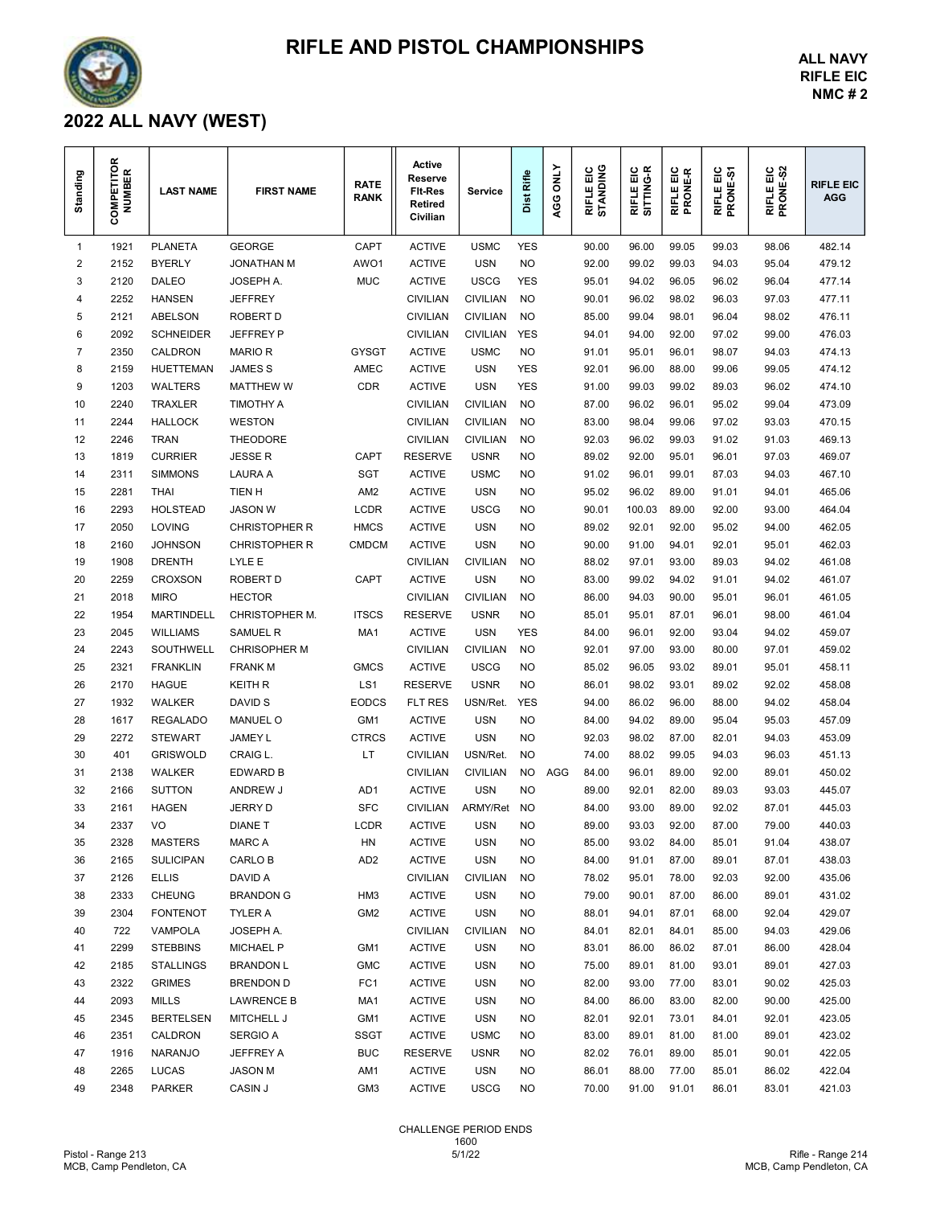

## RIFLE AND PISTOL CHAMPIONSHIPS

ALL NAVY RIFLE EIC NMC # 2

## 2022 ALL NAVY (WEST)

| Standing     | ≃<br><b>:OMPETITOR</b><br>NUMBER<br>ပ | <b>LAST NAME</b>                  | <b>FIRST NAME</b>                 | <b>RATE</b><br><b>RANK</b> | Active<br>Reserve<br><b>FIt-Res</b><br>Retired<br>Civilian | Service                       | Rifle<br>Dist    | <b>ONLY</b><br>AGG | RIFLE EIC<br>STANDING | RIFLE EIC<br>SITTING-R | RIFLE EIC<br>PRONE-R | RIFLE EIC<br>PRONE-S1 | RIFLE EIC<br>PRONE-S2 | <b>RIFLE EIC</b><br><b>AGG</b> |  |
|--------------|---------------------------------------|-----------------------------------|-----------------------------------|----------------------------|------------------------------------------------------------|-------------------------------|------------------|--------------------|-----------------------|------------------------|----------------------|-----------------------|-----------------------|--------------------------------|--|
| $\mathbf{1}$ | 1921                                  | <b>PLANETA</b>                    | <b>GEORGE</b>                     | CAPT                       | <b>ACTIVE</b>                                              | <b>USMC</b>                   | <b>YES</b>       |                    | 90.00                 | 96.00                  | 99.05                | 99.03                 | 98.06                 | 482.14                         |  |
| 2            | 2152                                  | <b>BYERLY</b>                     | <b>JONATHAN M</b>                 | AWO1                       | <b>ACTIVE</b>                                              | <b>USN</b>                    | <b>NO</b>        |                    | 92.00                 | 99.02                  | 99.03                | 94.03                 | 95.04                 | 479.12                         |  |
| 3            | 2120                                  | <b>DALEO</b>                      | JOSEPH A.                         | <b>MUC</b>                 | <b>ACTIVE</b>                                              | <b>USCG</b>                   | <b>YES</b>       |                    | 95.01                 | 94.02                  | 96.05                | 96.02                 | 96.04                 | 477.14                         |  |
| 4            | 2252                                  | <b>HANSEN</b>                     | <b>JEFFREY</b>                    |                            | <b>CIVILIAN</b>                                            | <b>CIVILIAN</b>               | <b>NO</b>        |                    | 90.01                 | 96.02                  | 98.02                | 96.03                 | 97.03                 | 477.11                         |  |
| 5            | 2121                                  | ABELSON                           | <b>ROBERT D</b>                   |                            | <b>CIVILIAN</b>                                            | <b>CIVILIAN</b>               | <b>NO</b>        |                    | 85.00                 | 99.04                  | 98.01                | 96.04                 | 98.02                 | 476.11                         |  |
| 6            | 2092                                  | <b>SCHNEIDER</b>                  | <b>JEFFREY P</b>                  |                            | <b>CIVILIAN</b>                                            | <b>CIVILIAN</b>               | <b>YES</b>       |                    | 94.01                 | 94.00                  | 92.00                | 97.02                 | 99.00                 | 476.03                         |  |
| 7            | 2350                                  | CALDRON                           | <b>MARIO R</b>                    | <b>GYSGT</b>               | <b>ACTIVE</b>                                              | <b>USMC</b>                   | <b>NO</b>        |                    | 91.01                 | 95.01                  | 96.01                | 98.07                 | 94.03                 | 474.13                         |  |
| 8            | 2159                                  | <b>HUETTEMAN</b>                  | JAMES <sub>S</sub>                | <b>AMEC</b>                | <b>ACTIVE</b>                                              | <b>USN</b>                    | <b>YES</b>       |                    | 92.01                 | 96.00                  | 88.00                | 99.06                 | 99.05                 | 474.12                         |  |
| 9            | 1203                                  | <b>WALTERS</b>                    | <b>MATTHEW W</b>                  | <b>CDR</b>                 | <b>ACTIVE</b>                                              | USN                           | <b>YES</b>       |                    | 91.00                 | 99.03                  | 99.02                | 89.03                 | 96.02                 | 474.10                         |  |
| 10           | 2240                                  | TRAXLER                           | TIMOTHY A                         |                            | <b>CIVILIAN</b>                                            | <b>CIVILIAN</b>               | NO               |                    | 87.00                 | 96.02                  | 96.01                | 95.02                 | 99.04                 | 473.09                         |  |
| 11           | 2244                                  | <b>HALLOCK</b>                    | <b>WESTON</b>                     |                            | <b>CIVILIAN</b>                                            | <b>CIVILIAN</b>               | <b>NO</b>        |                    | 83.00                 | 98.04                  | 99.06                | 97.02                 | 93.03                 | 470.15                         |  |
| 12           | 2246                                  | TRAN                              | <b>THEODORE</b>                   |                            | <b>CIVILIAN</b>                                            | <b>CIVILIAN</b>               | NO               |                    | 92.03                 | 96.02                  | 99.03                | 91.02                 | 91.03                 | 469.13                         |  |
| 13           | 1819                                  | <b>CURRIER</b>                    | <b>JESSE R</b>                    | CAPT                       | <b>RESERVE</b>                                             | <b>USNR</b>                   | NO               |                    | 89.02                 | 92.00                  | 95.01                | 96.01                 | 97.03                 | 469.07                         |  |
| 14           | 2311                                  | <b>SIMMONS</b>                    | <b>LAURA A</b>                    | <b>SGT</b>                 | <b>ACTIVE</b>                                              | <b>USMC</b>                   | NO               |                    | 91.02                 | 96.01                  | 99.01                | 87.03                 | 94.03                 | 467.10                         |  |
| 15           | 2281                                  | THAI                              | TIEN H                            | AM <sub>2</sub>            | <b>ACTIVE</b>                                              | USN                           | NO               |                    | 95.02                 | 96.02                  | 89.00                | 91.01                 | 94.01                 | 465.06                         |  |
| 16           | 2293                                  | <b>HOLSTEAD</b>                   | <b>JASON W</b>                    | LCDR                       | <b>ACTIVE</b>                                              | <b>USCG</b>                   | NO               |                    | 90.01                 | 100.03                 | 89.00                | 92.00                 | 93.00                 | 464.04                         |  |
| 17           | 2050                                  | <b>LOVING</b>                     | CHRISTOPHER R                     | <b>HMCS</b>                | <b>ACTIVE</b>                                              | USN                           | NO               |                    | 89.02                 | 92.01                  | 92.00                | 95.02                 | 94.00                 | 462.05                         |  |
| 18           | 2160                                  | <b>JOHNSON</b>                    | <b>CHRISTOPHER R</b>              | <b>CMDCM</b>               | <b>ACTIVE</b>                                              | USN                           | NO               |                    | 90.00                 | 91.00                  | 94.01                | 92.01                 | 95.01                 | 462.03                         |  |
| 19           | 1908                                  | <b>DRENTH</b>                     | LYLE E                            |                            | <b>CIVILIAN</b>                                            | <b>CIVILIAN</b>               | NO               |                    | 88.02                 | 97.01                  | 93.00                | 89.03                 | 94.02                 | 461.08                         |  |
| 20           | 2259                                  | CROXSON                           | <b>ROBERT D</b>                   | <b>CAPT</b>                | <b>ACTIVE</b>                                              | <b>USN</b>                    | <b>NO</b>        |                    | 83.00                 | 99.02                  | 94.02                | 91.01                 | 94.02                 | 461.07                         |  |
| 21           | 2018                                  | <b>MIRO</b>                       | <b>HECTOR</b>                     |                            | <b>CIVILIAN</b>                                            | <b>CIVILIAN</b>               | <b>NO</b>        |                    | 86.00                 | 94.03                  | 90.00                | 95.01                 | 96.01                 | 461.05                         |  |
| 22           | 1954                                  | <b>MARTINDELL</b>                 | <b>CHRISTOPHER M.</b>             | <b>ITSCS</b>               | <b>RESERVE</b>                                             | <b>USNR</b>                   | NO               |                    | 85.01                 | 95.01                  | 87.01                | 96.01                 | 98.00                 | 461.04                         |  |
| 23           | 2045                                  | <b>WILLIAMS</b>                   | <b>SAMUEL R</b>                   | MA <sub>1</sub>            | <b>ACTIVE</b>                                              | <b>USN</b>                    | <b>YES</b>       |                    | 84.00                 | 96.01                  | 92.00                | 93.04                 | 94.02                 | 459.07                         |  |
| 24           | 2243                                  | SOUTHWELL                         | <b>CHRISOPHER M</b>               |                            | <b>CIVILIAN</b>                                            | <b>CIVILIAN</b>               | <b>NO</b>        |                    | 92.01                 | 97.00                  | 93.00                | 80.00                 | 97.01                 | 459.02                         |  |
| 25           | 2321                                  | <b>FRANKLIN</b>                   | <b>FRANK M</b>                    | <b>GMCS</b>                | <b>ACTIVE</b>                                              | <b>USCG</b>                   | NO               |                    | 85.02                 | 96.05                  | 93.02                | 89.01                 | 95.01                 | 458.11                         |  |
|              | 2170                                  | <b>HAGUE</b>                      | <b>KEITH R</b>                    | LS <sub>1</sub>            | <b>RESERVE</b>                                             | <b>USNR</b>                   | <b>NO</b>        |                    | 86.01                 | 98.02                  | 93.01                | 89.02                 | 92.02                 | 458.08                         |  |
| 26           |                                       |                                   | DAVID S                           | <b>EODCS</b>               |                                                            |                               | <b>YES</b>       |                    |                       | 86.02                  |                      |                       |                       |                                |  |
| 27           | 1932                                  | <b>WALKER</b>                     |                                   |                            | FLT RES<br><b>ACTIVE</b>                                   | USN/Ret.                      |                  |                    | 94.00                 | 94.02                  | 96.00                | 88.00                 | 94.02                 | 458.04                         |  |
| 28           | 1617<br>2272                          | <b>REGALADO</b><br><b>STEWART</b> | <b>MANUEL O</b><br><b>JAMEY L</b> | GM1<br><b>CTRCS</b>        | <b>ACTIVE</b>                                              | USN<br><b>USN</b>             | NO<br><b>NO</b>  |                    | 84.00<br>92.03        | 98.02                  | 89.00<br>87.00       | 95.04<br>82.01        | 95.03                 | 457.09                         |  |
| 29           |                                       |                                   |                                   |                            |                                                            | USN/Ret.                      | <b>NO</b>        |                    |                       | 88.02                  |                      | 94.03                 | 94.03                 | 453.09                         |  |
| 30           | 401                                   | <b>GRISWOLD</b>                   | CRAIG L.                          | LT                         | <b>CIVILIAN</b>                                            |                               |                  |                    | 74.00                 |                        | 99.05                |                       | 96.03                 | 451.13                         |  |
| 31           | 2138                                  | WALKER<br><b>SUTTON</b>           | <b>EDWARD B</b>                   |                            | <b>CIVILIAN</b>                                            | <b>CIVILIAN</b><br><b>USN</b> | NO.<br><b>NO</b> | AGG                | 84.00                 | 96.01                  | 89.00                | 92.00                 | 89.01                 | 450.02                         |  |
| 32           | 2166                                  |                                   | ANDREW J                          | AD <sub>1</sub>            | <b>ACTIVE</b>                                              |                               |                  |                    | 89.00                 | 92.01                  | 82.00                | 89.03                 | 93.03                 | 445.07                         |  |
| 33           | 2161                                  | <b>HAGEN</b>                      | <b>JERRY D</b>                    | <b>SFC</b>                 | <b>CIVILIAN</b>                                            | <b>ARMY/Ret</b>               | <b>NO</b>        |                    | 84.00                 | 93.00                  | 89.00                | 92.02                 | 87.01                 | 445.03                         |  |
| 34           | 2337                                  | VO                                | <b>DIANE T</b>                    | <b>LCDR</b>                | <b>ACTIVE</b>                                              | USN                           | <b>NO</b>        |                    | 89.00                 | 93.03                  | 92.00                | 87.00                 | 79.00                 | 440.03                         |  |
| 35           | 2328                                  | <b>MASTERS</b>                    | <b>MARC A</b>                     | HN                         | <b>ACTIVE</b>                                              | <b>USN</b>                    | <b>NO</b>        |                    | 85.00                 | 93.02                  | 84.00                | 85.01                 | 91.04                 | 438.07                         |  |
| 36           | 2165                                  | <b>SULICIPAN</b>                  | CARLO B                           | AD <sub>2</sub>            | <b>ACTIVE</b>                                              | <b>USN</b>                    | <b>NO</b>        |                    | 84.00                 | 91.01                  | 87.00                | 89.01                 | 87.01                 | 438.03                         |  |
| 37           | 2126                                  | <b>ELLIS</b>                      | DAVID A                           |                            | <b>CIVILIAN</b>                                            | <b>CIVILIAN</b>               | <b>NO</b>        |                    | 78.02                 | 95.01                  | 78.00                | 92.03                 | 92.00                 | 435.06                         |  |
| 38           | 2333                                  | <b>CHEUNG</b>                     | <b>BRANDON G</b>                  | HM3                        | <b>ACTIVE</b>                                              | <b>USN</b>                    | NO               |                    | 79.00                 | 90.01                  | 87.00                | 86.00                 | 89.01                 | 431.02                         |  |
| 39           | 2304                                  | <b>FONTENOT</b>                   | TYLER A                           | GM <sub>2</sub>            | <b>ACTIVE</b>                                              | <b>USN</b>                    | <b>NO</b>        |                    | 88.01                 | 94.01                  | 87.01                | 68.00                 | 92.04                 | 429.07                         |  |
| 40           | 722                                   | VAMPOLA                           | JOSEPH A.                         |                            | <b>CIVILIAN</b>                                            | <b>CIVILIAN</b>               | NO               |                    | 84.01                 | 82.01                  | 84.01                | 85.00                 | 94.03                 | 429.06                         |  |
| 41           | 2299                                  | <b>STEBBINS</b>                   | <b>MICHAEL P</b>                  | GM <sub>1</sub>            | <b>ACTIVE</b>                                              | <b>USN</b>                    | NO               |                    | 83.01                 | 86.00                  | 86.02                | 87.01                 | 86.00                 | 428.04                         |  |
| 42           | 2185                                  | <b>STALLINGS</b>                  | <b>BRANDON L</b>                  | <b>GMC</b>                 | <b>ACTIVE</b>                                              | <b>USN</b>                    | NO               |                    | 75.00                 | 89.01                  | 81.00                | 93.01                 | 89.01                 | 427.03                         |  |
| 43           | 2322                                  | <b>GRIMES</b>                     | <b>BRENDON D</b>                  | FC1                        | <b>ACTIVE</b>                                              | USN                           | NO               |                    | 82.00                 | 93.00                  | 77.00                | 83.01                 | 90.02                 | 425.03                         |  |
| 44           | 2093                                  | <b>MILLS</b>                      | <b>LAWRENCE B</b>                 | MA1                        | <b>ACTIVE</b>                                              | USN                           | <b>NO</b>        |                    | 84.00                 | 86.00                  | 83.00                | 82.00                 | 90.00                 | 425.00                         |  |
| 45           | 2345                                  | <b>BERTELSEN</b>                  | <b>MITCHELL J</b>                 | GM <sub>1</sub>            | <b>ACTIVE</b>                                              | <b>USN</b>                    | NO               |                    | 82.01                 | 92.01                  | 73.01                | 84.01                 | 92.01                 | 423.05                         |  |
| 46           | 2351                                  | CALDRON                           | <b>SERGIO A</b>                   | SSGT                       | <b>ACTIVE</b>                                              | <b>USMC</b>                   | <b>NO</b>        |                    | 83.00                 | 89.01                  | 81.00                | 81.00                 | 89.01                 | 423.02                         |  |
| 47           | 1916                                  | <b>NARANJO</b>                    | JEFFREY A                         | <b>BUC</b>                 | <b>RESERVE</b>                                             | <b>USNR</b>                   | <b>NO</b>        |                    | 82.02                 | 76.01                  | 89.00                | 85.01                 | 90.01                 | 422.05                         |  |
| 48           | 2265                                  | <b>LUCAS</b>                      | <b>JASON M</b>                    | AM1                        | <b>ACTIVE</b>                                              | <b>USN</b>                    | <b>NO</b>        |                    | 86.01                 | 88.00                  | 77.00                | 85.01                 | 86.02                 | 422.04                         |  |
| 49           | 2348                                  | <b>PARKER</b>                     | CASIN J                           | GM <sub>3</sub>            | <b>ACTIVE</b>                                              | <b>USCG</b>                   | <b>NO</b>        |                    | 70.00                 | 91.00                  | 91.01                | 86.01                 | 83.01                 | 421.03                         |  |